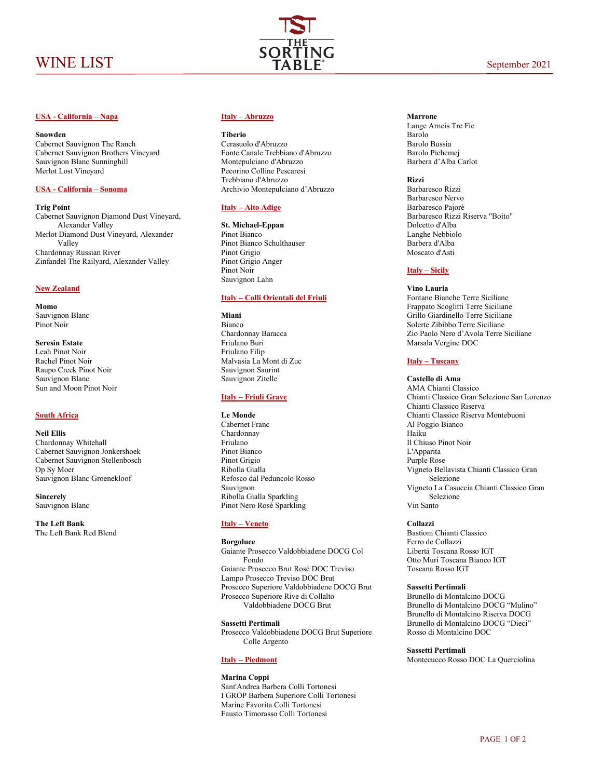

## **USA - California – Napa**

### **Snowden**

Cabernet Sauvignon The Ranch Cabernet Sauvignon Brothers Vineyard Sauvignon Blanc Sunninghill Merlot Lost Vineyard

## **USA - California – Sonoma**

## **Trig Point**

Cabernet Sauvignon Diamond Dust Vineyard, Alexander Valley Merlot Diamond Dust Vineyard, Alexander Valley Chardonnay Russian River Zinfandel The Railyard, Alexander Valley

## **New Zealand**

**Momo** Sauvignon Blanc Pinot Noir

**Seresin Estate** Leah Pinot Noir Rachel Pinot Noir Raupo Creek Pinot Noir Sauvignon Blanc Sun and Moon Pinot Noir

## **South Africa**

**Neil Ellis** Chardonnay Whitehall Cabernet Sauvignon Jonkershoek Cabernet Sauvignon Stellenbosch Op Sy Moer Sauvignon Blanc Groenekloof

**Sincerely** Sauvignon Blanc

**The Left Bank** The Left Bank Red Blend

### **Italy – Abruzzo**

#### **Tiberio**

Cerasuolo d'Abruzzo Fonte Canale Trebbiano d'Abruzzo Montepulciano d'Abruzzo Pecorino Colline Pescaresi Trebbiano d'Abruzzo Archivio Montepulciano d'Abruzzo

## **Italy – Alto Adige**

**St. Michael-Eppan** Pinot Bianco Pinot Bianco Schulthauser Pinot Grigio Pinot Grigio Anger Pinot Noir Sauvignon Lahn

## **Italy – Colli Orientali del Friuli**

**Miani** Bianco Chardonnay Baracca Friulano Buri Friulano Filip Malvasia La Mont di Zuc Sauvignon Saurint Sauvignon Zitelle

## **Italy – Friuli Grave**

#### **Le Monde**

Cabernet Franc Chardonnay Friulano Pinot Bianco Pinot Grigio Ribolla Gialla Refosco dal Peduncolo Rosso Sauvignon Ribolla Gialla Sparkling Pinot Nero Rosé Sparkling

## **Italy – Veneto**

## **Borgoluce**

Gaiante Prosecco Valdobbiadene DOCG Col Fondo Gaiante Prosecco Brut Rosé DOC Treviso Lampo Prosecco Treviso DOC Brut Prosecco Superiore Valdobbiadene DOCG Brut Prosecco Superiore Rive di Collalto Valdobbiadene DOCG Brut

**Sassetti Pertimali** Prosecco Valdobbiadene DOCG Brut Superiore Colle Argento

## **Italy – Piedmont**

### **Marina Coppi**  Sant'Andrea Barbera Colli Tortonesi I GROP Barbera Superiore Colli Tortonesi Marine Favorita Colli Tortonesi Fausto Timorasso Colli Tortonesi

## **Marrone**

Lange Arneis Tre Fie Barolo Barolo Bussia Barolo Pichemej Barbera d'Alba Carlot

**Rizzi**

Barbaresco Rizzi Barbaresco Nervo Barbaresco Pajorè Barbaresco Rizzi Riserva "Boito" Dolcetto d'Alba Langhe Nebbiolo Barbera d'Alba Moscato d'Asti

## **Italy – Sicily**

#### **Vino Lauria**

Fontane Bianche Terre Siciliane Frappato Scoglitti Terre Siciliane Grillo Giardinello Terre Siciliane Solerte Zibibbo Terre Siciliane Zio Paolo Nero d'Avola Terre Siciliane Marsala Vergine DOC

# **Italy – Tuscany**

## **Castello di Ama**

AMA Chianti Classico Chianti Classico Gran Selezione San Lorenzo Chianti Classico Riserva Chianti Classico Riserva Montebuoni Al Poggio Bianco Haiku Il Chiuso Pinot Noir L'Apparita Purple Rose Vigneto Bellavista Chianti Classico Gran Selezione Vigneto La Casuccia Chianti Classico Gran Selezione Vin Santo

## **Collazzi**

Bastioni Chianti Classico Ferro de Collazzi Libertá Toscana Rosso IGT Otto Muri Toscana Bianco IGT Toscana Rosso IGT

#### **Sassetti Pertimali**

Brunello di Montalcino DOCG Brunello di Montalcino DOCG "Mulino" Brunello di Montalcino Riserva DOCG Brunello di Montalcino DOCG "Dieci" Rosso di Montalcino DOC

### **Sassetti Pertimali**

Montecucco Rosso DOC La Querciolina